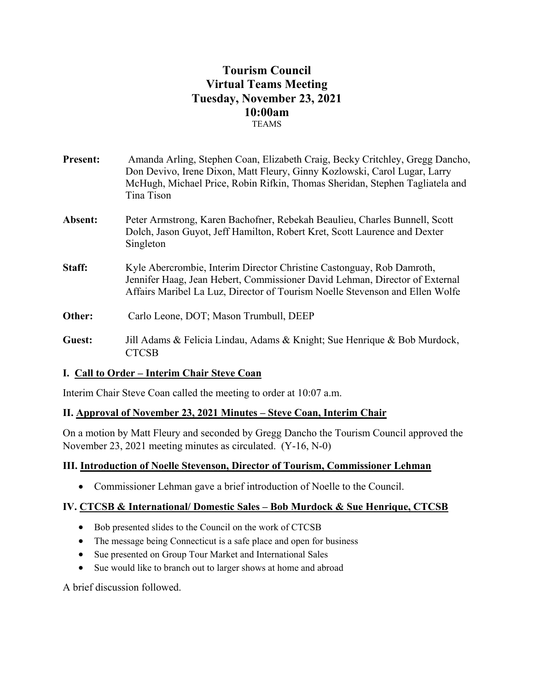# **Tourism Council Virtual Teams Meeting Tuesday, November 23, 2021 10:00am** TEAMS

**Present:** Amanda Arling, Stephen Coan, Elizabeth Craig, Becky Critchley, Gregg Dancho, Don Devivo, Irene Dixon, Matt Fleury, Ginny Kozlowski, Carol Lugar, Larry McHugh, Michael Price, Robin Rifkin, Thomas Sheridan, Stephen Tagliatela and Tina Tison **Absent:** Peter Armstrong, Karen Bachofner, Rebekah Beaulieu, Charles Bunnell, Scott Dolch, Jason Guyot, Jeff Hamilton, Robert Kret, Scott Laurence and Dexter Singleton **Staff:** Kyle Abercrombie, Interim Director Christine Castonguay, Rob Damroth, Jennifer Haag, Jean Hebert, Commissioner David Lehman, Director of External Affairs Maribel La Luz, Director of Tourism Noelle Stevenson and Ellen Wolfe **Other:** Carlo Leone, DOT; Mason Trumbull, DEEP **Guest:** Jill Adams & Felicia Lindau, Adams & Knight; Sue Henrique & Bob Murdock, CTCSB **I. Call to Order – Interim Chair Steve Coan** 

Interim Chair Steve Coan called the meeting to order at 10:07 a.m.

### **II. Approval of November 23, 2021 Minutes – Steve Coan, Interim Chair**

On a motion by Matt Fleury and seconded by Gregg Dancho the Tourism Council approved the November 23, 2021 meeting minutes as circulated. (Y-16, N-0)

#### **III. Introduction of Noelle Stevenson, Director of Tourism, Commissioner Lehman**

Commissioner Lehman gave a brief introduction of Noelle to the Council.

#### **IV. CTCSB & International/ Domestic Sales – Bob Murdock & Sue Henrique, CTCSB**

- Bob presented slides to the Council on the work of CTCSB
- The message being Connecticut is a safe place and open for business
- Sue presented on Group Tour Market and International Sales
- Sue would like to branch out to larger shows at home and abroad

A brief discussion followed.